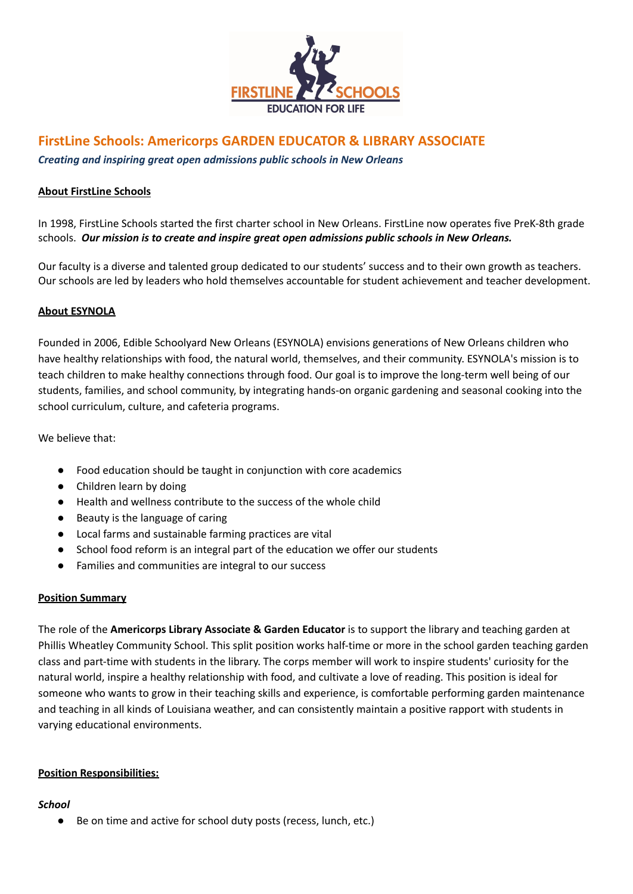

# **FirstLine Schools: Americorps GARDEN EDUCATOR & LIBRARY ASSOCIATE**

*Creating and inspiring great open admissions public schools in New Orleans*

### **About FirstLine Schools**

In 1998, FirstLine Schools started the first charter school in New Orleans. FirstLine now operates five PreK-8th grade schools. *Our mission is to create and inspire great open admissions public schools in New Orleans.*

Our faculty is a diverse and talented group dedicated to our students' success and to their own growth as teachers. Our schools are led by leaders who hold themselves accountable for student achievement and teacher development.

#### **About ESYNOLA**

Founded in 2006, Edible Schoolyard New Orleans (ESYNOLA) envisions generations of New Orleans children who have healthy relationships with food, the natural world, themselves, and their community. ESYNOLA's mission is to teach children to make healthy connections through food. Our goal is to improve the long-term well being of our students, families, and school community, by integrating hands-on organic gardening and seasonal cooking into the school curriculum, culture, and cafeteria programs.

We believe that:

- Food education should be taught in conjunction with core academics
- Children learn by doing
- Health and wellness contribute to the success of the whole child
- Beauty is the language of caring
- Local farms and sustainable farming practices are vital
- School food reform is an integral part of the education we offer our students
- Families and communities are integral to our success

#### **Position Summary**

The role of the **Americorps Library Associate & Garden Educator** is to support the library and teaching garden at Phillis Wheatley Community School. This split position works half-time or more in the school garden teaching garden class and part-time with students in the library. The corps member will work to inspire students' curiosity for the natural world, inspire a healthy relationship with food, and cultivate a love of reading. This position is ideal for someone who wants to grow in their teaching skills and experience, is comfortable performing garden maintenance and teaching in all kinds of Louisiana weather, and can consistently maintain a positive rapport with students in varying educational environments.

## **Position Responsibilities:**

#### *School*

● Be on time and active for school duty posts (recess, lunch, etc.)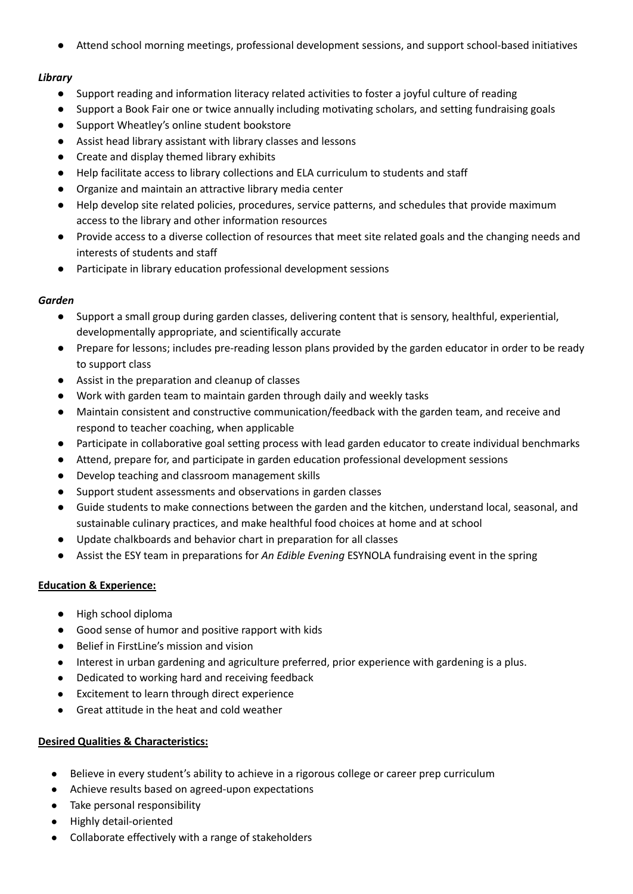● Attend school morning meetings, professional development sessions, and support school-based initiatives

## *Library*

- Support reading and information literacy related activities to foster a joyful culture of reading
- Support a Book Fair one or twice annually including motivating scholars, and setting fundraising goals
- Support Wheatley's online student bookstore
- Assist head library assistant with library classes and lessons
- Create and display themed library exhibits
- Help facilitate access to library collections and ELA curriculum to students and staff
- Organize and maintain an attractive library media center
- Help develop site related policies, procedures, service patterns, and schedules that provide maximum access to the library and other information resources
- Provide access to a diverse collection of resources that meet site related goals and the changing needs and interests of students and staff
- Participate in library education professional development sessions

## *Garden*

- Support a small group during garden classes, delivering content that is sensory, healthful, experiential, developmentally appropriate, and scientifically accurate
- Prepare for lessons; includes pre-reading lesson plans provided by the garden educator in order to be ready to support class
- Assist in the preparation and cleanup of classes
- Work with garden team to maintain garden through daily and weekly tasks
- Maintain consistent and constructive communication/feedback with the garden team, and receive and respond to teacher coaching, when applicable
- Participate in collaborative goal setting process with lead garden educator to create individual benchmarks
- Attend, prepare for, and participate in garden education professional development sessions
- Develop teaching and classroom management skills
- Support student assessments and observations in garden classes
- Guide students to make connections between the garden and the kitchen, understand local, seasonal, and sustainable culinary practices, and make healthful food choices at home and at school
- Update chalkboards and behavior chart in preparation for all classes
- Assist the ESY team in preparations for *An Edible Evening* ESYNOLA fundraising event in the spring

## **Education & Experience:**

- High school diploma
- Good sense of humor and positive rapport with kids
- Belief in FirstLine's mission and vision
- Interest in urban gardening and agriculture preferred, prior experience with gardening is a plus.
- Dedicated to working hard and receiving feedback
- Excitement to learn through direct experience
- Great attitude in the heat and cold weather

## **Desired Qualities & Characteristics:**

- Believe in every student's ability to achieve in a rigorous college or career prep curriculum
- Achieve results based on agreed-upon expectations
- Take personal responsibility
- Highly detail-oriented
- Collaborate effectively with a range of stakeholders